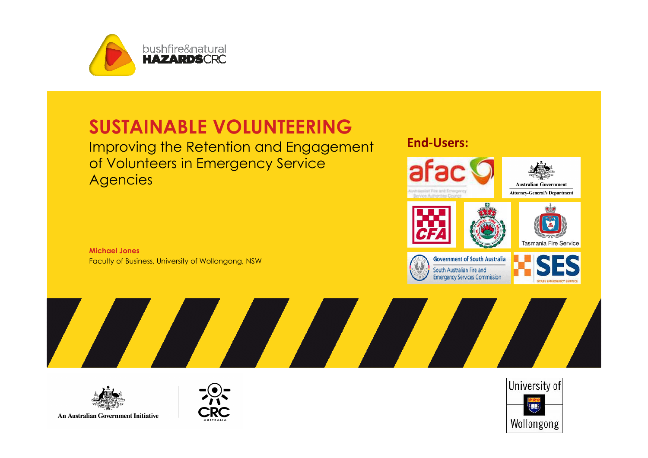

### SUSTAINABLE VOLUNTEERING

 Improving the Retention and Engagement of Volunteers in Emergency Service **Agencies** 

Michael JonesFaculty of Business, University of Wollongong, NSW





South Australian Fire and





An Australian Government Initiative



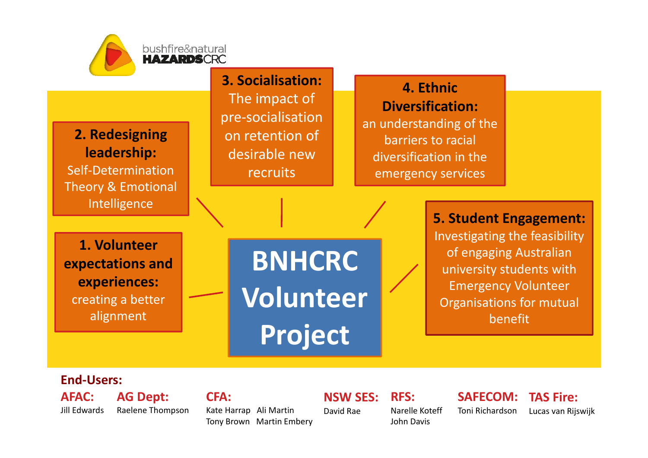

5. Student Engagement: Investigating the feasibility of engaging Australian university students with Emergency Volunteer Organisations for mutual benefit

#### End-Users:

AFAC: Jill Edwards

alignment

AG Dept: Raelene Thompson  $CFA$ 

Kate Harrap Ali MartinTony Brown Martin Embery

Project

NSW SES: David RaeRFS:

Narelle KoteffJohn Davis

SAFECOM: Toni Richardson

TAS Fire: Lucas van Rijswijk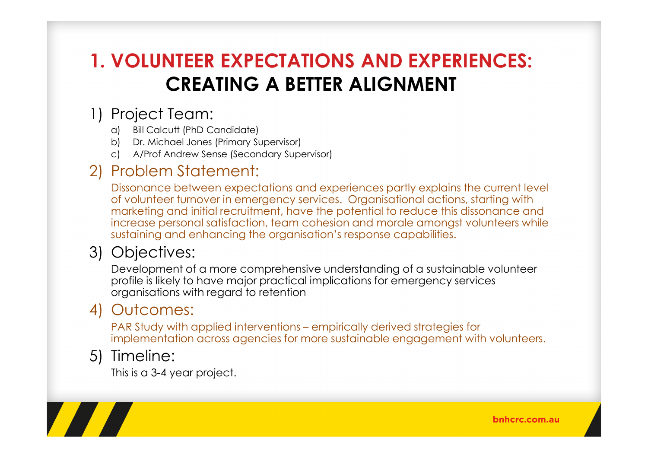### 1. VOLUNTEER EXPECTATIONS AND EXPERIENCES: CREATING A BETTER ALIGNMENT

#### 1) Project Team:

- a) Bill Calcutt (PhD Candidate)
- b) Dr. Michael Jones (Primary Supervisor)
- c) A/Prof Andrew Sense (Secondary Supervisor)

#### 2) Problem Statement:

Dissonance between expectations and experiences partly explains the current level of volunteer turnover in emergency services. Organisational actions, starting with marketing and initial recruitment, have the potential to reduce this dissonance and increase personal satisfaction, team cohesion and morale amongst volunteers while sustaining and enhancing the organisation's response capabilities.

#### 3) Objectives:

Development of a more comprehensive understanding of a sustainable volunteer profile is likely to have major practical implications for emergency services organisations with regard to retention

#### 4) Outcomes:

PAR Study with applied interventions – empirically derived strategies for implementation across agencies for more sustainable engagement with volunteers.

#### 5) Timeline:

This is a 3-4 year project.

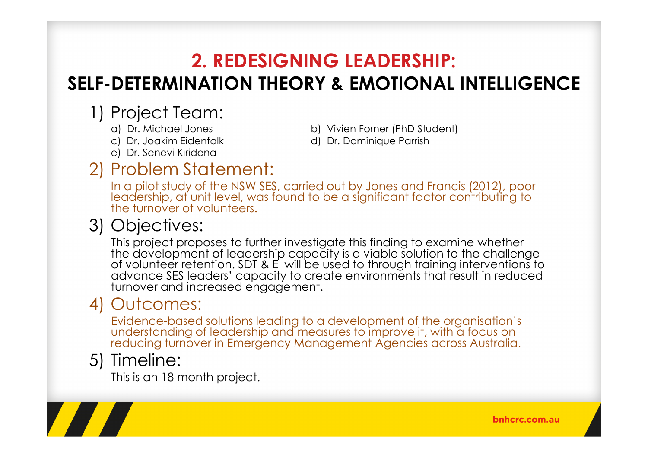### 2. REDESIGNING LEADERSHIP:

## SELF-DETERMINATION THEORY & EMOTIONAL INTELLIGENCE

# 1) Project Team:<br>a) Dr. Michael Jones

- 
- 
- e) Dr. Senevi Kiridena

### a) Dr. Michael Jones b) Vivien Forner (PhD Student)<br>c) Dr. Joakim Eidenfalk d) Dr. Dominique Parrish

d) Dr. Dominique Parrish

## 2) Problem Statement:<br>In a pilot study of the NSW SES

In a pilot study of the NSW SES, carried out by Jones and Francis (2012), poor leadership, at unit level, was found to be a significant factor contributing to the turnover of volunteers.

#### 3) Objectives:

This project proposes to further investigate this finding to examine whether the development of leadership capacity is a viable solution to the challenge of volunteer retention. SDT & EI will be used to through training interventions to advance SES leaders' capacity to create environments that result in reduced turnover and increased engagement.

#### 4) Outcomes:

Evidence-based solutions leading to a development of the organisation's understanding of leadership and measures to improve it, with a focus on reducing turnover in Emergency Management Agencies across Australia.

#### 5) Timeline:

This is an 18 month project.

bnhcrc.com.au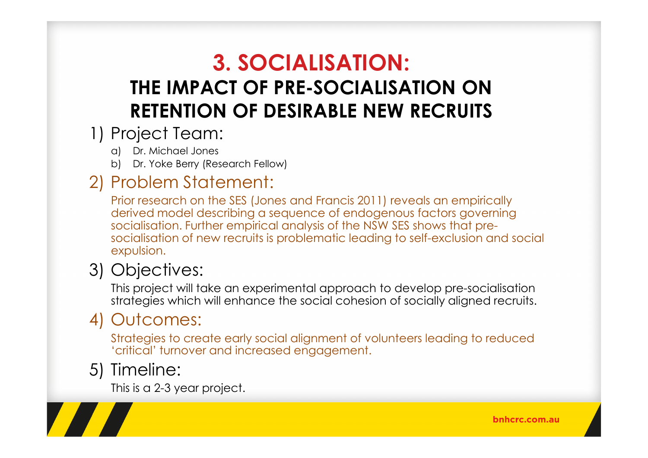## 3. SOCIALISATION: THE IMPACT OF PRE-SOCIALISATION ON RETENTION OF DESIRABLE NEW RECRUITS

#### 1) Project Team:

- a) Dr. Michael Jones
- b) Dr. Yoke Berry (Research Fellow)

### 2) Problem Statement:

Prior research on the SES (Jones and Francis 2011) reveals an empirically derived model describing a sequence of endogenous factors governing socialisation. Further empirical analysis of the NSW SES shows that presocialisation of new recruits is problematic leading to self-exclusion and social expulsion.

### 3) Objectives:

This project will take an experimental approach to develop pre-socialisation strategies which will enhance the social cohesion of socially aligned recruits.

### 4) Outcomes:

Strategies to create early social alignment of volunteers leading to reduced 'critical' turnover and increased engagement.

### 5) Timeline:

This is a 2-3 year project.

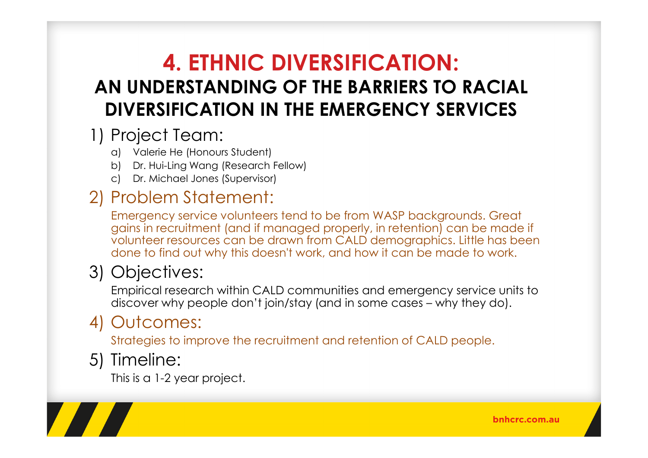### 4. ETHNIC DIVERSIFICATION: AN UNDERSTANDING OF THE BARRIERS TO RACIAL DIVERSIFICATION IN THE EMERGENCY SERVICES

### 1) Project Team:

- a) Valerie He (Honours Student)
- b) Dr. Hui-Ling Wang (Research Fellow)
- c) Dr. Michael Jones (Supervisor)

### 2) Problem Statement:

Emergency service volunteers tend to be from WASP backgrounds. Great gains in recruitment (and if managed properly, in retention) can be made if volunteer resources can be drawn from CALD demographics. Little has been done to find out why this doesn't work, and how it can be made to work.

### 3) Objectives:

Empirical research within CALD communities and emergency service units to discover why people don't join/stay (and in some cases – why they do).

### 4) Outcomes:

Strategies to improve the recruitment and retention of CALD people.

### 5) Timeline:

This is a 1-2 year project.